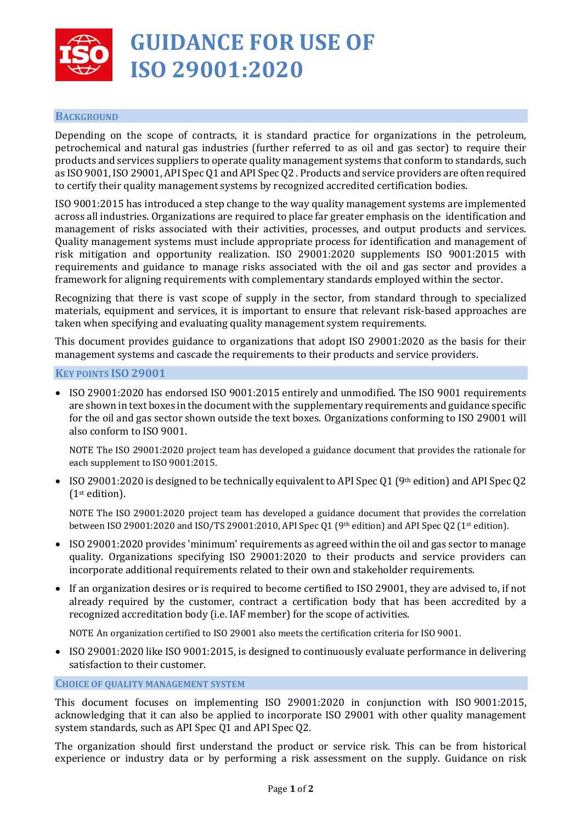

# **GUIDANCE FOR USE OF ISO 29001:2020**

## **BACKGROUND**

Depending on the scope of contracts, it is standard practice for organizations in the petroleum, petrochemical and natural gas industries (further referred to as oil and gas sector) to require their products and services suppliers to operate quality management systems that conform to standards, such as ISO 9001, ISO 29001, API Spec Q1 and API Spec Q2 . Products and service providers are often required to certify their quality management systems by recognized accredited certification bodies.

ISO 9001:2015 has introduced a step change to the way quality management systems are implemented across all industries. Organizations are required to place far greater emphasis on the identification and management of risks associated with their activities, processes, and output products and services. Quality management systems must include appropriate process for identification and management of risk mitigation and opportunity realization. ISO 29001:2020 supplements ISO 9001:2015 with requirements and guidance to manage risks associated with the oil and gas sector and provides a framework for aligning requirements with complementary standards employed within the sector.

Recognizing that there is vast scope of supply in the sector, from standard through to specialized materials, equipment and services, it is important to ensure that relevant risk-based approaches are taken when specifying and evaluating quality management system requirements.

This document provides guidance to organizations that adopt ISO 29001:2020 as the basis for their management systems and cascade the requirements to their products and service providers.

#### **KEY POINTS ISO 29001**

• ISO 29001:2020 has endorsed ISO 9001:2015 entirely and unmodified. The ISO 9001 requirements are shown in text boxes in the document with the supplementary requirements and guidance specific for the oil and gas sector shown outside the text boxes. Organizations conforming to ISO 29001 will also conform to ISO 9001.

NOTE The ISO 29001:2020 project team has developed a guidance document that provides the rationale for each supplement to ISO 9001:2015.

• ISO 29001:2020 is designed to be technically equivalent to API Spec Q1 (9<sup>th</sup> edition) and API Spec Q2 (1st edition).

NOTE The ISO 29001:2020 project team has developed a guidance document that provides the correlation between ISO 29001:2020 and ISO/TS 29001:2010, API Spec Q1 (9th edition) and API Spec Q2 (1st edition).

- ISO 29001:2020 provides 'minimum' requirements as agreed within the oil and gas sector to manage quality. Organizations specifying ISO 29001:2020 to their products and service providers can incorporate additional requirements related to their own and stakeholder requirements.
- If an organization desires or is required to become certified to ISO 29001, they are advised to, if not already required by the customer, contract a certification body that has been accredited by a recognized accreditation body (i.e. IAF member) for the scope of activities.

NOTE An organization certified to ISO 29001 also meets the certification criteria for ISO 9001.

• ISO 29001:2020 like ISO 9001:2015, is designed to continuously evaluate performance in delivering satisfaction to their customer.

#### **CHOICE OF QUALITY MANAGEMENT SYSTEM**

This document focuses on implementing ISO 29001:2020 in conjunction with ISO 9001:2015, acknowledging that it can also be applied to incorporate ISO 29001 with other quality management system standards, such as API Spec Q1 and API Spec Q2.

The organization should first understand the product or service risk. This can be from historical experience or industry data or by performing a risk assessment on the supply. Guidance on risk